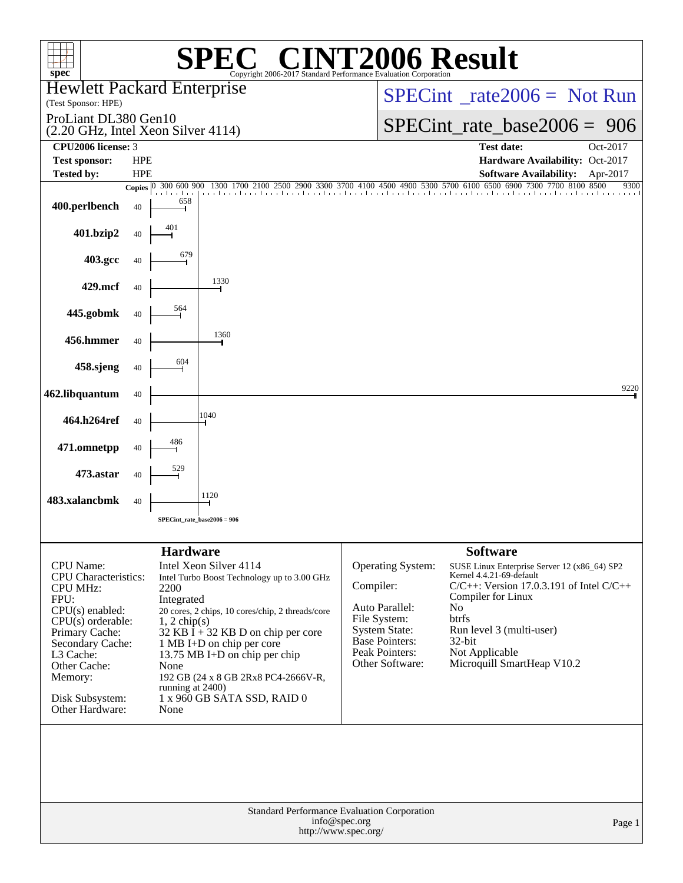| <b>INT2006 Result</b><br>$\bigcap$ $\bigcap$<br>spec <sup>®</sup><br>Copyright 2006-2017 Standard Performance Evaluation Corporation                                                                                                       |                            |                                                                                             |                                                                                                                                                                                                                                                                                                             |                                                                                                                                                 |                                                                                                                                                                                                                                                                         |  |  |  |  |  |
|--------------------------------------------------------------------------------------------------------------------------------------------------------------------------------------------------------------------------------------------|----------------------------|---------------------------------------------------------------------------------------------|-------------------------------------------------------------------------------------------------------------------------------------------------------------------------------------------------------------------------------------------------------------------------------------------------------------|-------------------------------------------------------------------------------------------------------------------------------------------------|-------------------------------------------------------------------------------------------------------------------------------------------------------------------------------------------------------------------------------------------------------------------------|--|--|--|--|--|
| <b>Hewlett Packard Enterprise</b><br>(Test Sponsor: HPE)                                                                                                                                                                                   |                            |                                                                                             |                                                                                                                                                                                                                                                                                                             |                                                                                                                                                 | $SPECint^{\circ}$ rate $2006 =$ Not Run                                                                                                                                                                                                                                 |  |  |  |  |  |
| ProLiant DL380 Gen10<br>(2.20 GHz, Intel Xeon Silver 4114)                                                                                                                                                                                 |                            |                                                                                             |                                                                                                                                                                                                                                                                                                             |                                                                                                                                                 | SPECint rate base $2006 = 906$                                                                                                                                                                                                                                          |  |  |  |  |  |
| CPU2006 license: 3                                                                                                                                                                                                                         |                            |                                                                                             |                                                                                                                                                                                                                                                                                                             |                                                                                                                                                 | <b>Test date:</b><br>Oct-2017                                                                                                                                                                                                                                           |  |  |  |  |  |
| <b>Test sponsor:</b>                                                                                                                                                                                                                       | <b>HPE</b>                 |                                                                                             |                                                                                                                                                                                                                                                                                                             |                                                                                                                                                 | Hardware Availability: Oct-2017                                                                                                                                                                                                                                         |  |  |  |  |  |
| <b>Tested by:</b>                                                                                                                                                                                                                          | <b>HPE</b><br>Copies $ 0 $ | 300 600 900                                                                                 | 1700 2100                                                                                                                                                                                                                                                                                                   |                                                                                                                                                 | <b>Software Availability:</b><br>Apr-2017<br>2500 2900 3300 3700 4100 4500 4900 5300 5700 6100 6500 6900 7300 7700 8100 8500<br>9300                                                                                                                                    |  |  |  |  |  |
| 400.perlbench                                                                                                                                                                                                                              | 40                         | 658                                                                                         |                                                                                                                                                                                                                                                                                                             |                                                                                                                                                 |                                                                                                                                                                                                                                                                         |  |  |  |  |  |
| 401.bzip2                                                                                                                                                                                                                                  | 40                         | 401                                                                                         |                                                                                                                                                                                                                                                                                                             |                                                                                                                                                 |                                                                                                                                                                                                                                                                         |  |  |  |  |  |
| 403.gcc                                                                                                                                                                                                                                    | 40                         | 679                                                                                         |                                                                                                                                                                                                                                                                                                             |                                                                                                                                                 |                                                                                                                                                                                                                                                                         |  |  |  |  |  |
| 429.mcf                                                                                                                                                                                                                                    | 40                         |                                                                                             | 1330                                                                                                                                                                                                                                                                                                        |                                                                                                                                                 |                                                                                                                                                                                                                                                                         |  |  |  |  |  |
| 445.gobmk                                                                                                                                                                                                                                  | 40                         | 564                                                                                         |                                                                                                                                                                                                                                                                                                             |                                                                                                                                                 |                                                                                                                                                                                                                                                                         |  |  |  |  |  |
| 456.hmmer                                                                                                                                                                                                                                  | 40                         |                                                                                             | 1360                                                                                                                                                                                                                                                                                                        |                                                                                                                                                 |                                                                                                                                                                                                                                                                         |  |  |  |  |  |
| 458.sjeng                                                                                                                                                                                                                                  | 40                         | 604                                                                                         |                                                                                                                                                                                                                                                                                                             |                                                                                                                                                 |                                                                                                                                                                                                                                                                         |  |  |  |  |  |
| 462.libquantum                                                                                                                                                                                                                             | 40                         |                                                                                             |                                                                                                                                                                                                                                                                                                             |                                                                                                                                                 | 9220                                                                                                                                                                                                                                                                    |  |  |  |  |  |
| 464.h264ref                                                                                                                                                                                                                                | 40                         |                                                                                             | 1040                                                                                                                                                                                                                                                                                                        |                                                                                                                                                 |                                                                                                                                                                                                                                                                         |  |  |  |  |  |
| 471.omnetpp                                                                                                                                                                                                                                | 40                         | 486<br>529                                                                                  |                                                                                                                                                                                                                                                                                                             |                                                                                                                                                 |                                                                                                                                                                                                                                                                         |  |  |  |  |  |
| 473.astar                                                                                                                                                                                                                                  | 40                         |                                                                                             | 1120                                                                                                                                                                                                                                                                                                        |                                                                                                                                                 |                                                                                                                                                                                                                                                                         |  |  |  |  |  |
| 483.xalancbmk                                                                                                                                                                                                                              | 40                         |                                                                                             | SPECint_rate_base2006 = 906                                                                                                                                                                                                                                                                                 |                                                                                                                                                 |                                                                                                                                                                                                                                                                         |  |  |  |  |  |
|                                                                                                                                                                                                                                            |                            |                                                                                             |                                                                                                                                                                                                                                                                                                             |                                                                                                                                                 |                                                                                                                                                                                                                                                                         |  |  |  |  |  |
| <b>CPU</b> Name:<br><b>CPU</b> Characteristics:<br><b>CPU MHz:</b><br>FPU:<br>$CPU(s)$ enabled:<br>$CPU(s)$ orderable:<br>Primary Cache:<br>Secondary Cache:<br>L3 Cache:<br>Other Cache:<br>Memory:<br>Disk Subsystem:<br>Other Hardware: |                            | <b>Hardware</b><br>2200<br>Integrated<br>$1, 2$ chip(s)<br>None<br>running at 2400)<br>None | Intel Xeon Silver 4114<br>Intel Turbo Boost Technology up to 3.00 GHz<br>20 cores, 2 chips, 10 cores/chip, 2 threads/core<br>32 KB $\bar{I}$ + 32 KB D on chip per core<br>1 MB I+D on chip per core<br>13.75 MB I+D on chip per chip<br>192 GB (24 x 8 GB 2Rx8 PC4-2666V-R,<br>1 x 960 GB SATA SSD, RAID 0 | Operating System:<br>Compiler:<br>Auto Parallel:<br>File System:<br>System State:<br><b>Base Pointers:</b><br>Peak Pointers:<br>Other Software: | <b>Software</b><br>SUSE Linux Enterprise Server 12 (x86_64) SP2<br>Kernel 4.4.21-69-default<br>$C/C++$ : Version 17.0.3.191 of Intel $C/C++$<br>Compiler for Linux<br>No<br>btrfs<br>Run level 3 (multi-user)<br>32-bit<br>Not Applicable<br>Microquill SmartHeap V10.2 |  |  |  |  |  |
| Standard Performance Evaluation Corporation<br>info@spec.org<br>Page 1<br>http://www.spec.org/                                                                                                                                             |                            |                                                                                             |                                                                                                                                                                                                                                                                                                             |                                                                                                                                                 |                                                                                                                                                                                                                                                                         |  |  |  |  |  |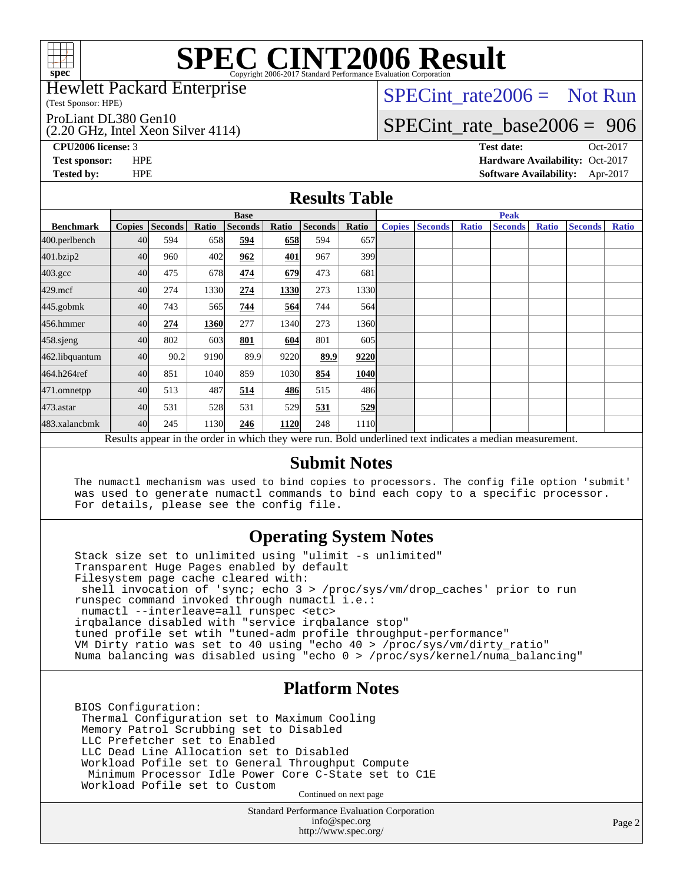

### Hewlett Packard Enterprise

(Test Sponsor: HPE)

ProLiant DL380 Gen10

(2.20 GHz, Intel Xeon Silver 4114)

[SPECint\\_rate2006 =](http://www.spec.org/auto/cpu2006/Docs/result-fields.html#SPECintrate2006) Not Run

## [SPECint\\_rate\\_base2006 =](http://www.spec.org/auto/cpu2006/Docs/result-fields.html#SPECintratebase2006) 906

**[CPU2006 license:](http://www.spec.org/auto/cpu2006/Docs/result-fields.html#CPU2006license)** 3 **[Test date:](http://www.spec.org/auto/cpu2006/Docs/result-fields.html#Testdate)** Oct-2017 **[Test sponsor:](http://www.spec.org/auto/cpu2006/Docs/result-fields.html#Testsponsor)** HPE **[Hardware Availability:](http://www.spec.org/auto/cpu2006/Docs/result-fields.html#HardwareAvailability)** Oct-2017 **[Tested by:](http://www.spec.org/auto/cpu2006/Docs/result-fields.html#Testedby)** HPE **[Software Availability:](http://www.spec.org/auto/cpu2006/Docs/result-fields.html#SoftwareAvailability)** Apr-2017

### **[Results Table](http://www.spec.org/auto/cpu2006/Docs/result-fields.html#ResultsTable)**

|                                                                                                          | <b>Base</b>   |                |       |                |            |                |                  | <b>Peak</b>   |                |              |                |              |                |              |
|----------------------------------------------------------------------------------------------------------|---------------|----------------|-------|----------------|------------|----------------|------------------|---------------|----------------|--------------|----------------|--------------|----------------|--------------|
| <b>Benchmark</b>                                                                                         | <b>Copies</b> | <b>Seconds</b> | Ratio | <b>Seconds</b> | Ratio      | <b>Seconds</b> | Ratio            | <b>Copies</b> | <b>Seconds</b> | <b>Ratio</b> | <b>Seconds</b> | <b>Ratio</b> | <b>Seconds</b> | <b>Ratio</b> |
| 400.perlbench                                                                                            | 40            | 594            | 658   | 594            | 658        | 594            | 657              |               |                |              |                |              |                |              |
| 401.bzip2                                                                                                | 40            | 960            | 402   | 962            | <u>401</u> | 967            | 399              |               |                |              |                |              |                |              |
| $403.\text{gcc}$                                                                                         | 40            | 475            | 678   | 474            | 679        | 473            | 681              |               |                |              |                |              |                |              |
| $429$ .mcf                                                                                               | 40            | 274            | 1330  | 274            | 1330       | 273            | 1330             |               |                |              |                |              |                |              |
| $445$ .gobm $k$                                                                                          | 40            | 743            | 565   | 744            | 564        | 744            | 564 <sub>l</sub> |               |                |              |                |              |                |              |
| 456.hmmer                                                                                                | 40            | 274            | 1360  | 277            | 1340       | 273            | 1360             |               |                |              |                |              |                |              |
| 458.sjeng                                                                                                | 40            | 802            | 603   | 801            | 604        | 801            | 605l             |               |                |              |                |              |                |              |
| 462.libquantum                                                                                           | 40            | 90.2           | 9190  | 89.9           | 9220       | 89.9           | 9220             |               |                |              |                |              |                |              |
| 464.h264ref                                                                                              | 40            | 851            | 1040  | 859            | 1030       | 854            | 1040             |               |                |              |                |              |                |              |
| 471.omnetpp                                                                                              | 40            | 513            | 487   | 514            | 486        | 515            | 486I             |               |                |              |                |              |                |              |
| 473.astar                                                                                                | 40            | 531            | 528   | 531            | 529        | 531            | 529              |               |                |              |                |              |                |              |
| 483.xalancbmk                                                                                            | 40            | 245            | 1130  | 246            | 1120       | 248            | 1110             |               |                |              |                |              |                |              |
| Results appear in the order in which they were run. Bold underlined text indicates a median measurement. |               |                |       |                |            |                |                  |               |                |              |                |              |                |              |

### **[Submit Notes](http://www.spec.org/auto/cpu2006/Docs/result-fields.html#SubmitNotes)**

 The numactl mechanism was used to bind copies to processors. The config file option 'submit' was used to generate numactl commands to bind each copy to a specific processor. For details, please see the config file.

## **[Operating System Notes](http://www.spec.org/auto/cpu2006/Docs/result-fields.html#OperatingSystemNotes)**

 Stack size set to unlimited using "ulimit -s unlimited" Transparent Huge Pages enabled by default Filesystem page cache cleared with: shell invocation of 'sync; echo 3 > /proc/sys/vm/drop\_caches' prior to run runspec command invoked through numactl i.e.: numactl --interleave=all runspec <etc> irqbalance disabled with "service irqbalance stop" tuned profile set wtih "tuned-adm profile throughput-performance" VM Dirty ratio was set to 40 using "echo 40 > /proc/sys/vm/dirty\_ratio" Numa balancing was disabled using "echo 0 > /proc/sys/kernel/numa\_balancing"

## **[Platform Notes](http://www.spec.org/auto/cpu2006/Docs/result-fields.html#PlatformNotes)**

 BIOS Configuration: Thermal Configuration set to Maximum Cooling Memory Patrol Scrubbing set to Disabled LLC Prefetcher set to Enabled LLC Dead Line Allocation set to Disabled Workload Pofile set to General Throughput Compute Minimum Processor Idle Power Core C-State set to C1E Workload Pofile set to Custom

Continued on next page

Standard Performance Evaluation Corporation [info@spec.org](mailto:info@spec.org) <http://www.spec.org/>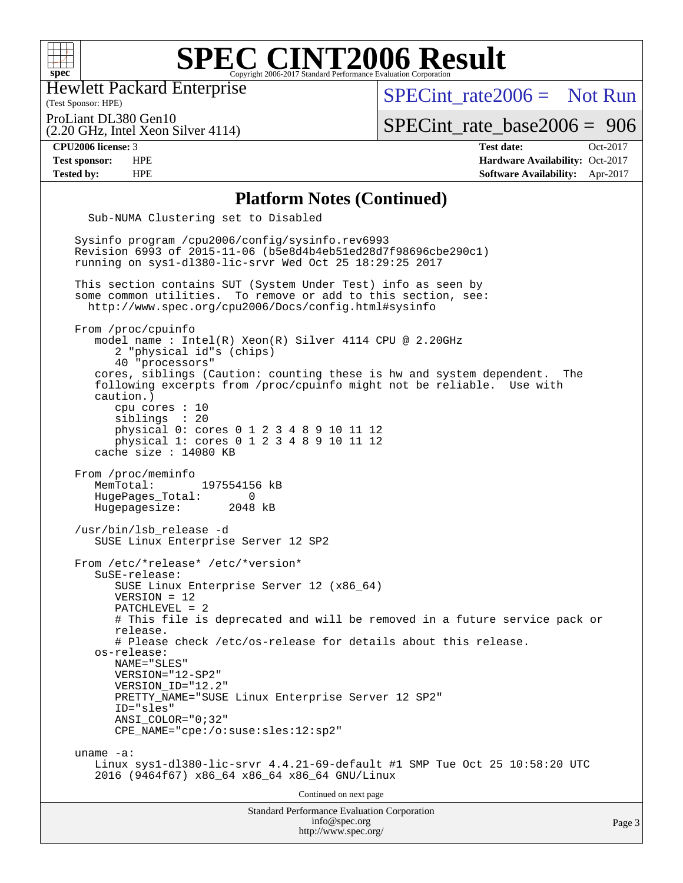

Hewlett Packard Enterprise

(2.20 GHz, Intel Xeon Silver 4114)

(Test Sponsor: HPE)

[SPECint\\_rate2006 =](http://www.spec.org/auto/cpu2006/Docs/result-fields.html#SPECintrate2006) Not Run

ProLiant DL380 Gen10

[SPECint\\_rate\\_base2006 =](http://www.spec.org/auto/cpu2006/Docs/result-fields.html#SPECintratebase2006) 906

**[CPU2006 license:](http://www.spec.org/auto/cpu2006/Docs/result-fields.html#CPU2006license)** 3 **[Test date:](http://www.spec.org/auto/cpu2006/Docs/result-fields.html#Testdate)** Oct-2017 **[Test sponsor:](http://www.spec.org/auto/cpu2006/Docs/result-fields.html#Testsponsor)** HPE **[Hardware Availability:](http://www.spec.org/auto/cpu2006/Docs/result-fields.html#HardwareAvailability)** Oct-2017 **[Tested by:](http://www.spec.org/auto/cpu2006/Docs/result-fields.html#Testedby)** HPE **[Software Availability:](http://www.spec.org/auto/cpu2006/Docs/result-fields.html#SoftwareAvailability)** Apr-2017

### **[Platform Notes \(Continued\)](http://www.spec.org/auto/cpu2006/Docs/result-fields.html#PlatformNotes)**

Standard Performance Evaluation Corporation [info@spec.org](mailto:info@spec.org) Sub-NUMA Clustering set to Disabled Sysinfo program /cpu2006/config/sysinfo.rev6993 Revision 6993 of 2015-11-06 (b5e8d4b4eb51ed28d7f98696cbe290c1) running on sys1-dl380-lic-srvr Wed Oct 25 18:29:25 2017 This section contains SUT (System Under Test) info as seen by some common utilities. To remove or add to this section, see: <http://www.spec.org/cpu2006/Docs/config.html#sysinfo> From /proc/cpuinfo model name : Intel(R) Xeon(R) Silver 4114 CPU @ 2.20GHz 2 "physical id"s (chips) 40 "processors" cores, siblings (Caution: counting these is hw and system dependent. The following excerpts from /proc/cpuinfo might not be reliable. Use with caution.) cpu cores : 10 siblings : 20 physical 0: cores 0 1 2 3 4 8 9 10 11 12 physical 1: cores 0 1 2 3 4 8 9 10 11 12 cache size : 14080 KB From /proc/meminfo MemTotal: 197554156 kB HugePages\_Total: 0 Hugepagesize: 2048 kB /usr/bin/lsb\_release -d SUSE Linux Enterprise Server 12 SP2 From /etc/\*release\* /etc/\*version\* SuSE-release: SUSE Linux Enterprise Server 12 (x86\_64) VERSION = 12 PATCHLEVEL = 2 # This file is deprecated and will be removed in a future service pack or release. # Please check /etc/os-release for details about this release. os-release: NAME="SLES" VERSION="12-SP2" VERSION\_ID="12.2" PRETTY NAME="SUSE Linux Enterprise Server 12 SP2" ID="sles" ANSI\_COLOR="0;32" CPE\_NAME="cpe:/o:suse:sles:12:sp2" uname -a: Linux sys1-dl380-lic-srvr 4.4.21-69-default #1 SMP Tue Oct 25 10:58:20 UTC 2016 (9464f67) x86\_64 x86\_64 x86\_64 GNU/Linux Continued on next page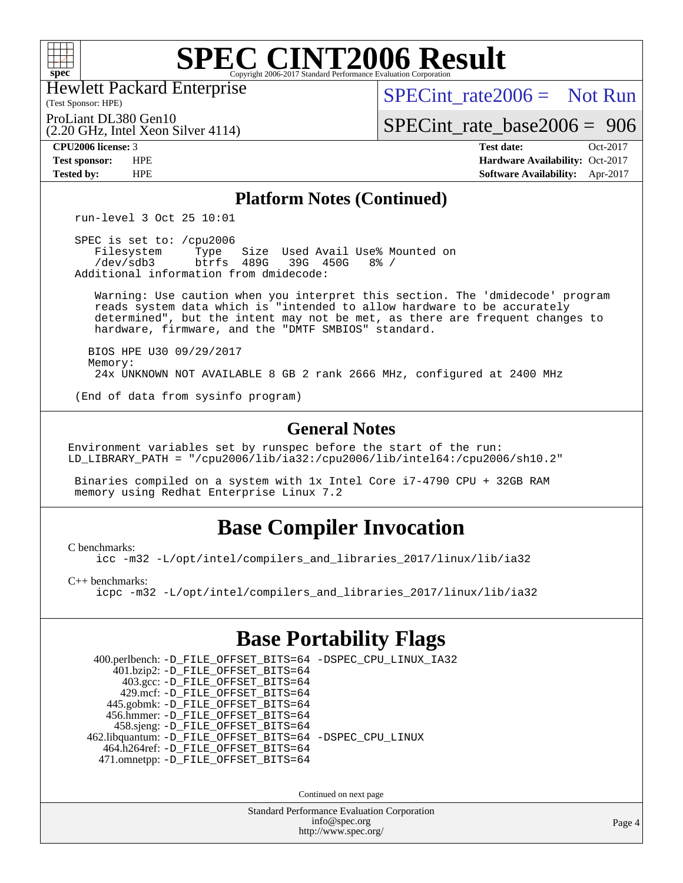

Hewlett Packard Enterprise

(2.20 GHz, Intel Xeon Silver 4114)

(Test Sponsor: HPE)

 $SPECint rate2006 = Not Run$ 

ProLiant DL380 Gen10

[SPECint\\_rate\\_base2006 =](http://www.spec.org/auto/cpu2006/Docs/result-fields.html#SPECintratebase2006) 906

**[CPU2006 license:](http://www.spec.org/auto/cpu2006/Docs/result-fields.html#CPU2006license)** 3 **[Test date:](http://www.spec.org/auto/cpu2006/Docs/result-fields.html#Testdate)** Oct-2017 **[Test sponsor:](http://www.spec.org/auto/cpu2006/Docs/result-fields.html#Testsponsor)** HPE **[Hardware Availability:](http://www.spec.org/auto/cpu2006/Docs/result-fields.html#HardwareAvailability)** Oct-2017 **[Tested by:](http://www.spec.org/auto/cpu2006/Docs/result-fields.html#Testedby)** HPE **[Software Availability:](http://www.spec.org/auto/cpu2006/Docs/result-fields.html#SoftwareAvailability)** Apr-2017

### **[Platform Notes \(Continued\)](http://www.spec.org/auto/cpu2006/Docs/result-fields.html#PlatformNotes)**

run-level 3 Oct 25 10:01

 SPEC is set to: /cpu2006 Filesystem Type Size Used Avail Use% Mounted on<br>
/dev/sdb3 btrfs 489G 39G 450G 8% / /dev/sdb3 btrfs 489G 39G 450G 8% / Additional information from dmidecode:

 Warning: Use caution when you interpret this section. The 'dmidecode' program reads system data which is "intended to allow hardware to be accurately determined", but the intent may not be met, as there are frequent changes to hardware, firmware, and the "DMTF SMBIOS" standard.

 BIOS HPE U30 09/29/2017 Memory: 24x UNKNOWN NOT AVAILABLE 8 GB 2 rank 2666 MHz, configured at 2400 MHz

(End of data from sysinfo program)

### **[General Notes](http://www.spec.org/auto/cpu2006/Docs/result-fields.html#GeneralNotes)**

Environment variables set by runspec before the start of the run: LD\_LIBRARY\_PATH = "/cpu2006/lib/ia32:/cpu2006/lib/intel64:/cpu2006/sh10.2"

 Binaries compiled on a system with 1x Intel Core i7-4790 CPU + 32GB RAM memory using Redhat Enterprise Linux 7.2

# **[Base Compiler Invocation](http://www.spec.org/auto/cpu2006/Docs/result-fields.html#BaseCompilerInvocation)**

[C benchmarks](http://www.spec.org/auto/cpu2006/Docs/result-fields.html#Cbenchmarks):

[icc -m32 -L/opt/intel/compilers\\_and\\_libraries\\_2017/linux/lib/ia32](http://www.spec.org/cpu2006/results/res2017q4/cpu2006-20171031-50414.flags.html#user_CCbase_intel_icc_c29f3ff5a7ed067b11e4ec10a03f03ae)

[C++ benchmarks:](http://www.spec.org/auto/cpu2006/Docs/result-fields.html#CXXbenchmarks)

[icpc -m32 -L/opt/intel/compilers\\_and\\_libraries\\_2017/linux/lib/ia32](http://www.spec.org/cpu2006/results/res2017q4/cpu2006-20171031-50414.flags.html#user_CXXbase_intel_icpc_8c35c7808b62dab9ae41a1aa06361b6b)

# **[Base Portability Flags](http://www.spec.org/auto/cpu2006/Docs/result-fields.html#BasePortabilityFlags)**

 400.perlbench: [-D\\_FILE\\_OFFSET\\_BITS=64](http://www.spec.org/cpu2006/results/res2017q4/cpu2006-20171031-50414.flags.html#user_basePORTABILITY400_perlbench_file_offset_bits_64_438cf9856305ebd76870a2c6dc2689ab) [-DSPEC\\_CPU\\_LINUX\\_IA32](http://www.spec.org/cpu2006/results/res2017q4/cpu2006-20171031-50414.flags.html#b400.perlbench_baseCPORTABILITY_DSPEC_CPU_LINUX_IA32) 401.bzip2: [-D\\_FILE\\_OFFSET\\_BITS=64](http://www.spec.org/cpu2006/results/res2017q4/cpu2006-20171031-50414.flags.html#user_basePORTABILITY401_bzip2_file_offset_bits_64_438cf9856305ebd76870a2c6dc2689ab) 403.gcc: [-D\\_FILE\\_OFFSET\\_BITS=64](http://www.spec.org/cpu2006/results/res2017q4/cpu2006-20171031-50414.flags.html#user_basePORTABILITY403_gcc_file_offset_bits_64_438cf9856305ebd76870a2c6dc2689ab) 429.mcf: [-D\\_FILE\\_OFFSET\\_BITS=64](http://www.spec.org/cpu2006/results/res2017q4/cpu2006-20171031-50414.flags.html#user_basePORTABILITY429_mcf_file_offset_bits_64_438cf9856305ebd76870a2c6dc2689ab) 445.gobmk: [-D\\_FILE\\_OFFSET\\_BITS=64](http://www.spec.org/cpu2006/results/res2017q4/cpu2006-20171031-50414.flags.html#user_basePORTABILITY445_gobmk_file_offset_bits_64_438cf9856305ebd76870a2c6dc2689ab) 456.hmmer: [-D\\_FILE\\_OFFSET\\_BITS=64](http://www.spec.org/cpu2006/results/res2017q4/cpu2006-20171031-50414.flags.html#user_basePORTABILITY456_hmmer_file_offset_bits_64_438cf9856305ebd76870a2c6dc2689ab) 458.sjeng: [-D\\_FILE\\_OFFSET\\_BITS=64](http://www.spec.org/cpu2006/results/res2017q4/cpu2006-20171031-50414.flags.html#user_basePORTABILITY458_sjeng_file_offset_bits_64_438cf9856305ebd76870a2c6dc2689ab) 462.libquantum: [-D\\_FILE\\_OFFSET\\_BITS=64](http://www.spec.org/cpu2006/results/res2017q4/cpu2006-20171031-50414.flags.html#user_basePORTABILITY462_libquantum_file_offset_bits_64_438cf9856305ebd76870a2c6dc2689ab) [-DSPEC\\_CPU\\_LINUX](http://www.spec.org/cpu2006/results/res2017q4/cpu2006-20171031-50414.flags.html#b462.libquantum_baseCPORTABILITY_DSPEC_CPU_LINUX) 464.h264ref: [-D\\_FILE\\_OFFSET\\_BITS=64](http://www.spec.org/cpu2006/results/res2017q4/cpu2006-20171031-50414.flags.html#user_basePORTABILITY464_h264ref_file_offset_bits_64_438cf9856305ebd76870a2c6dc2689ab) 471.omnetpp: [-D\\_FILE\\_OFFSET\\_BITS=64](http://www.spec.org/cpu2006/results/res2017q4/cpu2006-20171031-50414.flags.html#user_basePORTABILITY471_omnetpp_file_offset_bits_64_438cf9856305ebd76870a2c6dc2689ab)

Continued on next page

Standard Performance Evaluation Corporation [info@spec.org](mailto:info@spec.org) <http://www.spec.org/>